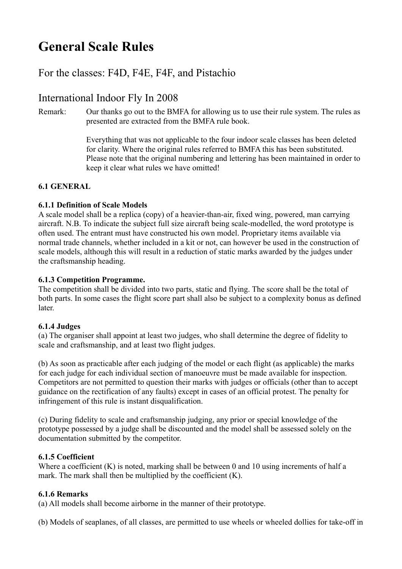# **General Scale Rules**

# For the classes: F4D, F4E, F4F, and Pistachio

# International Indoor Fly In 2008

Remark: Our thanks go out to the BMFA for allowing us to use their rule system. The rules as presented are extracted from the BMFA rule book.

> Everything that was not applicable to the four indoor scale classes has been deleted for clarity. Where the original rules referred to BMFA this has been substituted. Please note that the original numbering and lettering has been maintained in order to keep it clear what rules we have omitted!

# **6.1 GENERAL**

#### **6.1.1 Definition of Scale Models**

A scale model shall be a replica (copy) of a heavier-than-air, fixed wing, powered, man carrying aircraft. N.B. To indicate the subject full size aircraft being scale-modelled, the word prototype is often used. The entrant must have constructed his own model. Proprietary items available via normal trade channels, whether included in a kit or not, can however be used in the construction of scale models, although this will result in a reduction of static marks awarded by the judges under the craftsmanship heading.

### **6.1.3 Competition Programme.**

The competition shall be divided into two parts, static and flying. The score shall be the total of both parts. In some cases the flight score part shall also be subject to a complexity bonus as defined later.

# **6.1.4 Judges**

(a) The organiser shall appoint at least two judges, who shall determine the degree of fidelity to scale and craftsmanship, and at least two flight judges.

(b) As soon as practicable after each judging of the model or each flight (as applicable) the marks for each judge for each individual section of manoeuvre must be made available for inspection. Competitors are not permitted to question their marks with judges or officials (other than to accept guidance on the rectification of any faults) except in cases of an official protest. The penalty for infringement of this rule is instant disqualification.

(c) During fidelity to scale and craftsmanship judging, any prior or special knowledge of the prototype possessed by a judge shall be discounted and the model shall be assessed solely on the documentation submitted by the competitor.

#### **6.1.5 Coefficient**

Where a coefficient (K) is noted, marking shall be between 0 and 10 using increments of half a mark. The mark shall then be multiplied by the coefficient (K).

# **6.1.6 Remarks**

(a) All models shall become airborne in the manner of their prototype.

(b) Models of seaplanes, of all classes, are permitted to use wheels or wheeled dollies for take-off in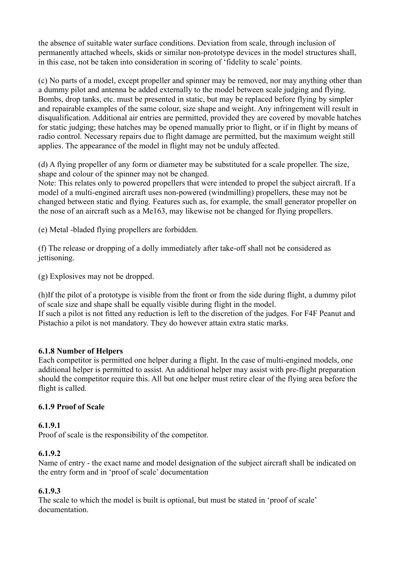the absence of suitable water surface conditions. Deviation from scale, through inclusion of permanently attached wheels, skids or similar non-prototype devices in the model structures shall, in this case, not be taken into consideration in scoring of 'fidelity to scale' points.

(c) No parts of a model, except propeller and spinner may be removed, nor may anything other than a dummy pilot and antenna be added externally to the model between scale judging and flying. Bombs, drop tanks, etc. must be presented in static, but may be replaced before flying by simpler and repairable examples of the same colour, size shape and weight. Any infringement will result in disqualification. Additional air entries are permitted, provided they are covered by movable hatches for static judging; these hatches may be opened manually prior to flight, or if in flight by means of radio control. Necessary repairs due to flight damage are permitted, but the maximum weight still applies. The appearance of the model in flight may not be unduly affected.

(d) A flying propeller of any form or diameter may be substituted for a scale propeller. The size, shape and colour of the spinner may not be changed.

Note: This relates only to powered propellers that were intended to propel the subject aircraft. If a model of a multi-engined aircraft uses non-powered (windmilling) propellers, these may not be changed between static and flying. Features such as, for example, the small generator propeller on the nose of an aircraft such as a Me163, may likewise not be changed for flying propellers.

(e) Metal -bladed flying propellers are forbidden.

(f) The release or dropping of a dolly immediately after take-off shall not be considered as jettisoning.

(g) Explosives may not be dropped.

(h)If the pilot of a prototype is visible from the front or from the side during flight, a dummy pilot of scale size and shape shall be equally visible during flight in the model. If such a pilot is not fitted any reduction is left to the discretion of the judges. For F4F Peanut and

Pistachio a pilot is not mandatory. They do however attain extra static marks.

#### **6.1.8 Number of Helpers**

Each competitor is permitted one helper during a flight. In the case of multi-engined models, one additional helper is permitted to assist. An additional helper may assist with pre-flight preparation should the competitor require this. All but one helper must retire clear of the flying area before the flight is called.

#### **6.1.9 Proof of Scale**

#### **6.1.9.1**

Proof of scale is the responsibility of the competitor.

#### **6.1.9.2**

Name of entry - the exact name and model designation of the subject aircraft shall be indicated on the entry form and in 'proof of scale' documentation

#### **6.1.9.3**

The scale to which the model is built is optional, but must be stated in 'proof of scale' documentation.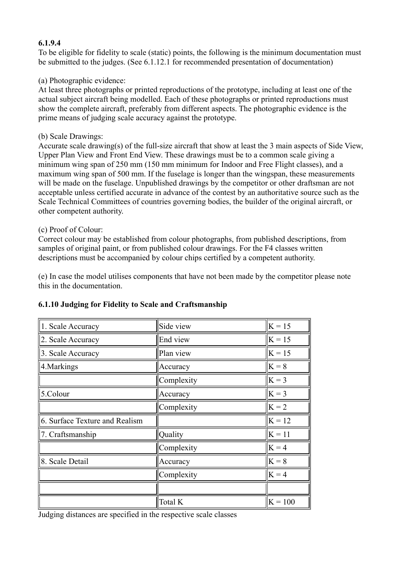#### **6.1.9.4**

To be eligible for fidelity to scale (static) points, the following is the minimum documentation must be submitted to the judges. (See 6.1.12.1 for recommended presentation of documentation)

#### (a) Photographic evidence:

At least three photographs or printed reproductions of the prototype, including at least one of the actual subject aircraft being modelled. Each of these photographs or printed reproductions must show the complete aircraft, preferably from different aspects. The photographic evidence is the prime means of judging scale accuracy against the prototype.

#### (b) Scale Drawings:

Accurate scale drawing(s) of the full-size aircraft that show at least the 3 main aspects of Side View, Upper Plan View and Front End View. These drawings must be to a common scale giving a minimum wing span of 250 mm (150 mm minimum for Indoor and Free Flight classes), and a maximum wing span of 500 mm. If the fuselage is longer than the wingspan, these measurements will be made on the fuselage. Unpublished drawings by the competitor or other draftsman are not acceptable unless certified accurate in advance of the contest by an authoritative source such as the Scale Technical Committees of countries governing bodies, the builder of the original aircraft, or other competent authority.

#### (c) Proof of Colour:

Correct colour may be established from colour photographs, from published descriptions, from samples of original paint, or from published colour drawings. For the F4 classes written descriptions must be accompanied by colour chips certified by a competent authority.

(e) In case the model utilises components that have not been made by the competitor please note this in the documentation.

| 1. Scale Accuracy              | Side view  | $ K = 15$ |
|--------------------------------|------------|-----------|
| 2. Scale Accuracy              | End view   | $ K = 15$ |
| 3. Scale Accuracy              | Plan view  | $ K = 15$ |
| 4. Markings                    | Accuracy   | $ K=8 $   |
|                                | Complexity | $K = 3$   |
| 5.Colour                       | Accuracy   | $K = 3$   |
|                                | Complexity | $K = 2$   |
| 6. Surface Texture and Realism |            | $K = 12$  |
| 7. Craftsmanship               | Quality    | $K = 11$  |
|                                | Complexity | $K = 4$   |
| 8. Scale Detail                | Accuracy   | $K = 8$   |
|                                | Complexity | $K = 4$   |
|                                |            |           |
|                                | Total K    | $K = 100$ |

#### **6.1.10 Judging for Fidelity to Scale and Craftsmanship**

Judging distances are specified in the respective scale classes